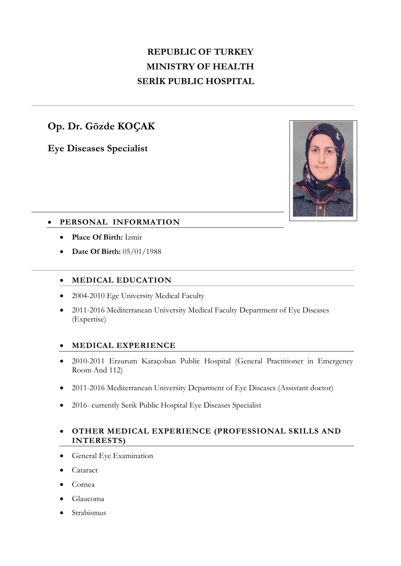# **REPUBLIC OF TURKEY MINISTRY OF HEALTH SERİK PUBLIC HOSPITAL**

## **Op. Dr. Gözde KOÇAK**

**Eye Diseases Specialist**



## **PERSONAL INFORMATION**

- **Place Of Birth:** İzmir
- **Date Of Birth:** 05/01/1988

## **MEDICAL EDUCATION**

- 2004-2010 Ege University Medical Faculty
- 2011-2016 Mediterranean University Medical Faculty Department of Eye Diseases (Expertise)

### **MEDICAL EXPERIENCE**

- 2010-2011 Erzurum Karaçoban Public Hospital (General Practitioner in Emergency Room And 112)
- 2011-2016 Mediterranean University Deparment of Eye Diseases (Assistant doctor)
- 2016- currently Serik Public Hospital Eye Diseases Specialist
- **OTHER MEDICAL EXPERIENCE (PROFESSIONAL SKILLS AND INTERESTS)**
- **•** General Eye Examination
- Cataract
- Cornea
- Glaucoma
- Strabismus